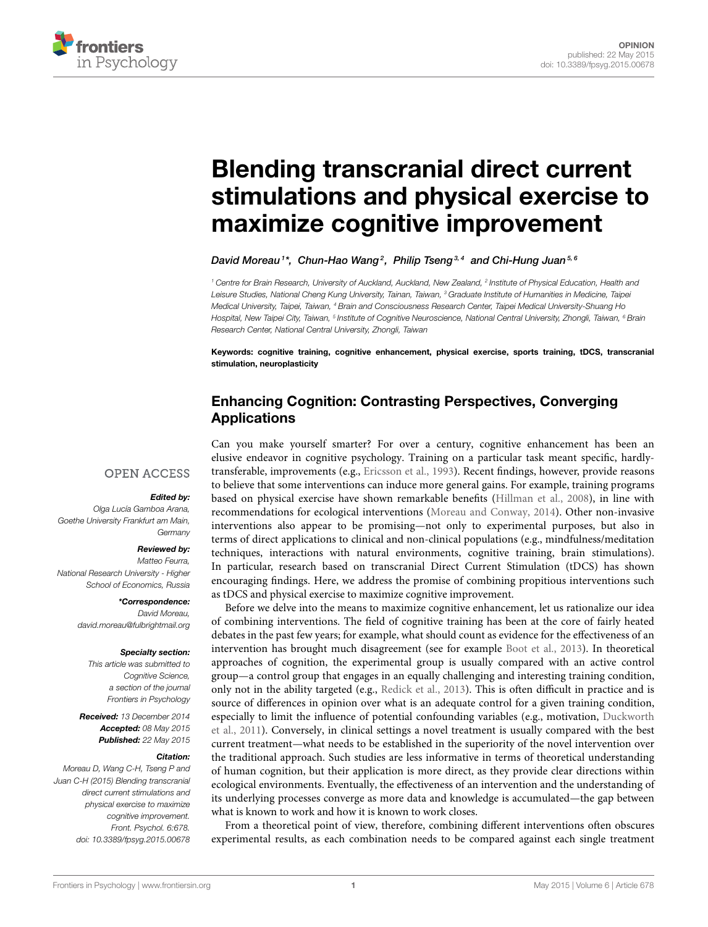

# Blending transcranial direct current [stimulations and physical exercise to](http://journal.frontiersin.org/article/10.3389/fpsyg.2015.00678/full) maximize cognitive improvement

[David Moreau](http://community.frontiersin.org/people/u/173164)<sup>1\*</sup>, [Chun-Hao Wang](http://community.frontiersin.org/people/u/174448)<sup>2</sup>, [Philip Tseng](http://community.frontiersin.org/people/u/59298)<sup>3,4</sup> and [Chi-Hung Juan](http://community.frontiersin.org/people/u/95844)<sup>5,6</sup>

 $^{\text{\tiny{\textup{1}}}}$  Centre for Brain Research, University of Auckland, Auckland, New Zealand,  $^{\text{\tiny{2}}}$  Institute of Physical Education, Health and Leisure Studies, National Cheng Kung University, Tainan, Taiwan, <sup>3</sup> Graduate Institute of Humanities in Medicine, Taipei Medical University, Taipei, Taiwan, <sup>4</sup> Brain and Consciousness Research Center, Taipei Medical University-Shuang Ho Hospital, New Taipei City, Taiwan, <sup>5</sup> Institute of Cognitive Neuroscience, National Central University, Zhongli, Taiwan, <sup>6</sup> Brain Research Center, National Central University, Zhongli, Taiwan

Keywords: cognitive training, cognitive enhancement, physical exercise, sports training, tDCS, transcranial stimulation, neuroplasticity

# Enhancing Cognition: Contrasting Perspectives, Converging **Applications**

## **OPEN ACCESS**

### Edited by:

Olga Lucía Gamboa Arana, Goethe University Frankfurt am Main, **Germany** 

## Reviewed by:

Matteo Feurra, National Research University - Higher School of Economics, Russia

> \*Correspondence: David Moreau,

[david.moreau@fulbrightmail.org](mailto:david.moreau@fulbrightmail.org)

#### Specialty section:

This article was submitted to Cognitive Science, a section of the journal Frontiers in Psychology

Received: 13 December 2014 Accepted: 08 May 2015 Published: 22 May 2015

#### Citation:

Moreau D, Wang C-H, Tseng P and Juan C-H (2015) Blending transcranial direct current stimulations and physical exercise to maximize cognitive improvement. Front. Psychol. 6:678. doi: [10.3389/fpsyg.2015.00678](http://dx.doi.org/10.3389/fpsyg.2015.00678) Can you make yourself smarter? For over a century, cognitive enhancement has been an elusive endeavor in cognitive psychology. Training on a particular task meant specific, hardlytransferable, improvements (e.g., [Ericsson et al., 1993\)](#page-3-0). Recent findings, however, provide reasons to believe that some interventions can induce more general gains. For example, training programs based on physical exercise have shown remarkable benefits [\(Hillman et al., 2008\)](#page-3-1), in line with recommendations for ecological interventions [\(Moreau and Conway, 2014\)](#page-3-2). Other non-invasive interventions also appear to be promising—not only to experimental purposes, but also in terms of direct applications to clinical and non-clinical populations (e.g., mindfulness/meditation techniques, interactions with natural environments, cognitive training, brain stimulations). In particular, research based on transcranial Direct Current Stimulation (tDCS) has shown encouraging findings. Here, we address the promise of combining propitious interventions such as tDCS and physical exercise to maximize cognitive improvement.

Before we delve into the means to maximize cognitive enhancement, let us rationalize our idea of combining interventions. The field of cognitive training has been at the core of fairly heated debates in the past few years; for example, what should count as evidence for the effectiveness of an intervention has brought much disagreement (see for example [Boot et al., 2013\)](#page-2-0). In theoretical approaches of cognition, the experimental group is usually compared with an active control group—a control group that engages in an equally challenging and interesting training condition, only not in the ability targeted (e.g., [Redick et al., 2013\)](#page-3-3). This is often difficult in practice and is source of differences in opinion over what is an adequate control for a given training condition, especially to limit the influence of potential confounding variables (e.g., motivation, Duckworth et al., [2011\)](#page-3-4). Conversely, in clinical settings a novel treatment is usually compared with the best current treatment—what needs to be established in the superiority of the novel intervention over the traditional approach. Such studies are less informative in terms of theoretical understanding of human cognition, but their application is more direct, as they provide clear directions within ecological environments. Eventually, the effectiveness of an intervention and the understanding of its underlying processes converge as more data and knowledge is accumulated—the gap between what is known to work and how it is known to work closes.

From a theoretical point of view, therefore, combining different interventions often obscures experimental results, as each combination needs to be compared against each single treatment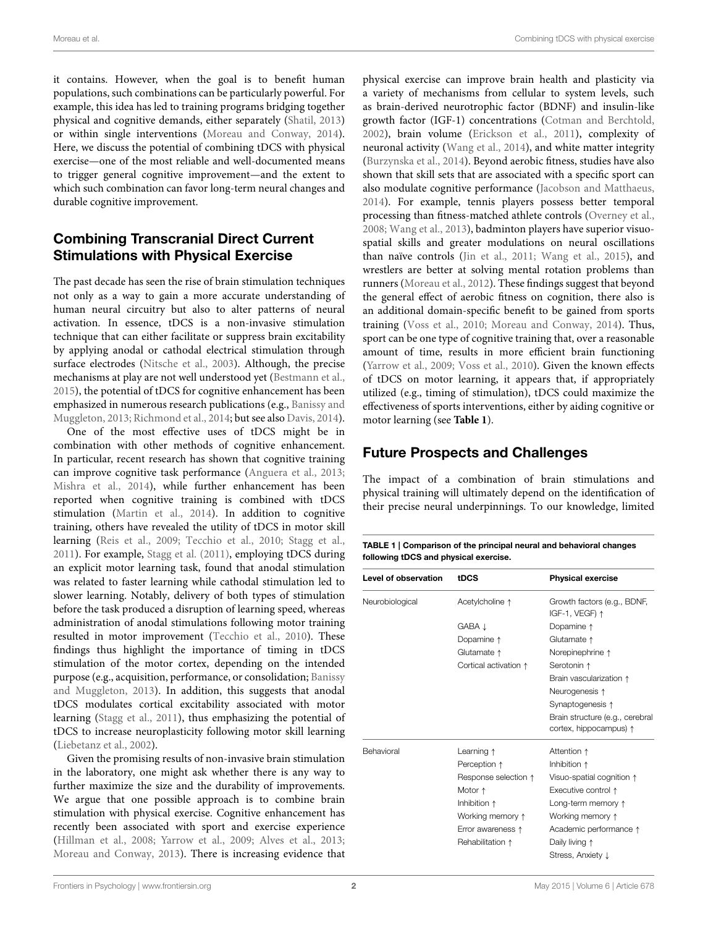it contains. However, when the goal is to benefit human populations, such combinations can be particularly powerful. For example, this idea has led to training programs bridging together physical and cognitive demands, either separately [\(Shatil, 2013\)](#page-3-5) or within single interventions [\(Moreau and Conway, 2014\)](#page-3-2). Here, we discuss the potential of combining tDCS with physical exercise—one of the most reliable and well-documented means to trigger general cognitive improvement—and the extent to which such combination can favor long-term neural changes and durable cognitive improvement.

# Combining Transcranial Direct Current Stimulations with Physical Exercise

The past decade has seen the rise of brain stimulation techniques not only as a way to gain a more accurate understanding of human neural circuitry but also to alter patterns of neural activation. In essence, tDCS is a non-invasive stimulation technique that can either facilitate or suppress brain excitability by applying anodal or cathodal electrical stimulation through surface electrodes [\(Nitsche et al., 2003\)](#page-3-6). Although, the precise mechanisms at play are not well understood yet [\(Bestmann et al.,](#page-2-1) [2015\)](#page-2-1), the potential of tDCS for cognitive enhancement has been emphasized in numerous research publications (e.g., Banissy and Muggleton, [2013;](#page-2-2) [Richmond et al., 2014;](#page-3-7) but see also [Davis, 2014\)](#page-3-8).

One of the most effective uses of tDCS might be in combination with other methods of cognitive enhancement. In particular, recent research has shown that cognitive training can improve cognitive task performance [\(Anguera et al., 2013;](#page-2-3) [Mishra et al., 2014\)](#page-3-9), while further enhancement has been reported when cognitive training is combined with tDCS stimulation [\(Martin et al., 2014\)](#page-3-10). In addition to cognitive training, others have revealed the utility of tDCS in motor skill learning [\(Reis et al., 2009;](#page-3-11) [Tecchio et al., 2010;](#page-3-12) [Stagg et al.,](#page-3-13) [2011\)](#page-3-13). For example, [Stagg et al. \(2011\)](#page-3-13), employing tDCS during an explicit motor learning task, found that anodal stimulation was related to faster learning while cathodal stimulation led to slower learning. Notably, delivery of both types of stimulation before the task produced a disruption of learning speed, whereas administration of anodal stimulations following motor training resulted in motor improvement [\(Tecchio et al., 2010\)](#page-3-12). These findings thus highlight the importance of timing in tDCS stimulation of the motor cortex, depending on the intended purpose (e.g., acquisition, performance, or consolidation; Banissy and Muggleton, [2013\)](#page-2-2). In addition, this suggests that anodal tDCS modulates cortical excitability associated with motor learning [\(Stagg et al., 2011\)](#page-3-13), thus emphasizing the potential of tDCS to increase neuroplasticity following motor skill learning [\(Liebetanz et al., 2002\)](#page-3-14).

Given the promising results of non-invasive brain stimulation in the laboratory, one might ask whether there is any way to further maximize the size and the durability of improvements. We argue that one possible approach is to combine brain stimulation with physical exercise. Cognitive enhancement has recently been associated with sport and exercise experience [\(Hillman et al., 2008;](#page-3-1) [Yarrow et al., 2009;](#page-4-0) [Alves et al., 2013;](#page-2-4) [Moreau and Conway, 2013\)](#page-3-15). There is increasing evidence that physical exercise can improve brain health and plasticity via a variety of mechanisms from cellular to system levels, such as brain-derived neurotrophic factor (BDNF) and insulin-like growth factor (IGF-1) concentrations [\(Cotman and Berchtold,](#page-3-16) [2002\)](#page-3-16), brain volume [\(Erickson et al., 2011\)](#page-3-17), complexity of neuronal activity [\(Wang et al., 2014\)](#page-3-18), and white matter integrity [\(Burzynska et al., 2014\)](#page-3-19). Beyond aerobic fitness, studies have also shown that skill sets that are associated with a specific sport can also modulate cognitive performance [\(Jacobson and Matthaeus,](#page-3-20) [2014\)](#page-3-20). For example, tennis players possess better temporal processing than fitness-matched athlete controls [\(Overney et al.,](#page-3-21) [2008;](#page-3-21) [Wang et al., 2013\)](#page-3-22), badminton players have superior visuospatial skills and greater modulations on neural oscillations than naïve controls [\(Jin et al., 2011;](#page-3-23) [Wang et al., 2015\)](#page-4-1), and wrestlers are better at solving mental rotation problems than runners [\(Moreau et al., 2012\)](#page-3-24). These findings suggest that beyond the general effect of aerobic fitness on cognition, there also is an additional domain-specific benefit to be gained from sports training [\(Voss et al., 2010;](#page-3-25) [Moreau and Conway, 2014\)](#page-3-2). Thus, sport can be one type of cognitive training that, over a reasonable amount of time, results in more efficient brain functioning [\(Yarrow et al., 2009;](#page-4-0) [Voss et al., 2010\)](#page-3-25). Given the known effects of tDCS on motor learning, it appears that, if appropriately utilized (e.g., timing of stimulation), tDCS could maximize the effectiveness of sports interventions, either by aiding cognitive or motor learning (see **[Table 1](#page-1-0)**).

# Future Prospects and Challenges

The impact of a combination of brain stimulations and physical training will ultimately depend on the identification of their precise neural underpinnings. To our knowledge, limited

<span id="page-1-0"></span>

| <b>TABLE 1</b>   Comparison of the principal neural and behavioral changes |
|----------------------------------------------------------------------------|
| following tDCS and physical exercise.                                      |

| Level of observation | <b>tDCS</b>                | <b>Physical exercise</b>                                           |
|----------------------|----------------------------|--------------------------------------------------------------------|
| Neurobiological      | Acetylcholine 1            | Growth factors (e.g., BDNF,<br>IGF-1, VEGF) 1                      |
|                      | GABA J                     | Dopamine 1                                                         |
|                      | Dopamine 1                 | Glutamate 1                                                        |
|                      | Glutamate 1                | Norepinephrine 1                                                   |
|                      | Cortical activation 1      | Serotonin 1                                                        |
|                      |                            | Brain vascularization 1                                            |
|                      |                            | Neurogenesis 1                                                     |
|                      |                            | Synaptogenesis 1                                                   |
|                      |                            | Brain structure (e.g., cerebral<br>cortex, hippocampus) $\uparrow$ |
| Behavioral           | Learning 1                 | Attention 1                                                        |
|                      | Perception 1               | Inhibition 1                                                       |
|                      | Response selection 1       | Visuo-spatial cognition $\uparrow$                                 |
|                      | Motor 1                    | Executive control 1                                                |
|                      | Inhibition 1               | Long-term memory $\uparrow$                                        |
|                      | Working memory 1           | Working memory 1                                                   |
|                      | Error awareness $\uparrow$ | Academic performance 1                                             |
|                      | Rehabilitation 1           | Daily living 1                                                     |
|                      |                            | Stress, Anxiety J                                                  |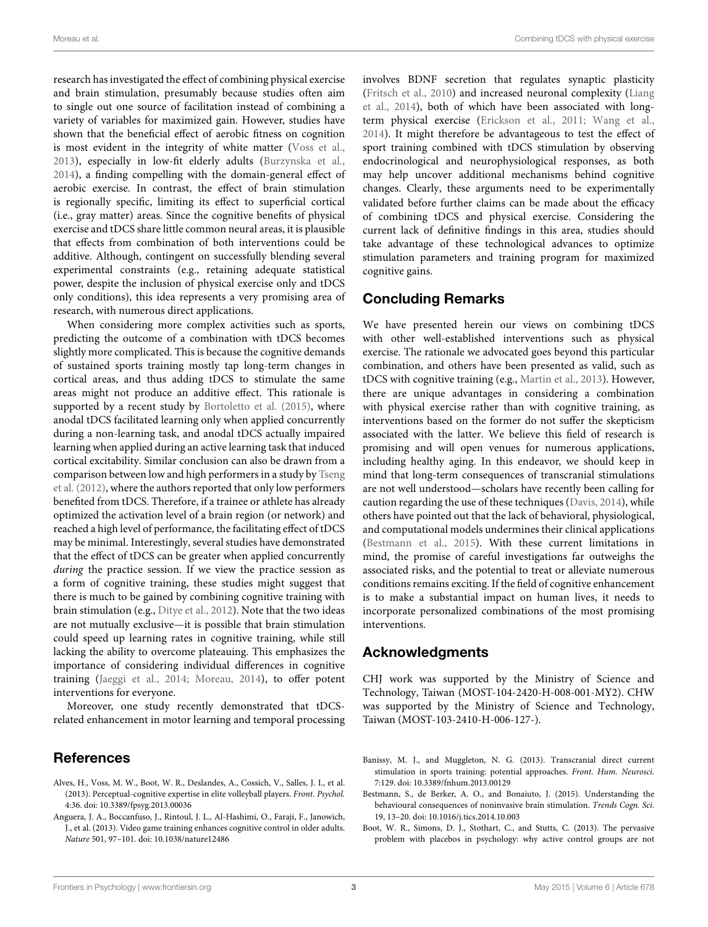research has investigated the effect of combining physical exercise and brain stimulation, presumably because studies often aim to single out one source of facilitation instead of combining a variety of variables for maximized gain. However, studies have shown that the beneficial effect of aerobic fitness on cognition is most evident in the integrity of white matter [\(Voss et al.,](#page-3-26) [2013\)](#page-3-26), especially in low-fit elderly adults [\(Burzynska et al.,](#page-3-19) [2014\)](#page-3-19), a finding compelling with the domain-general effect of aerobic exercise. In contrast, the effect of brain stimulation is regionally specific, limiting its effect to superficial cortical (i.e., gray matter) areas. Since the cognitive benefits of physical exercise and tDCS share little common neural areas, it is plausible that effects from combination of both interventions could be additive. Although, contingent on successfully blending several experimental constraints (e.g., retaining adequate statistical power, despite the inclusion of physical exercise only and tDCS only conditions), this idea represents a very promising area of research, with numerous direct applications.

When considering more complex activities such as sports, predicting the outcome of a combination with tDCS becomes slightly more complicated. This is because the cognitive demands of sustained sports training mostly tap long-term changes in cortical areas, and thus adding tDCS to stimulate the same areas might not produce an additive effect. This rationale is supported by a recent study by [Bortoletto et al. \(2015\)](#page-3-27), where anodal tDCS facilitated learning only when applied concurrently during a non-learning task, and anodal tDCS actually impaired learning when applied during an active learning task that induced cortical excitability. Similar conclusion can also be drawn from a comparison between low and high performers in a study by Tseng et al. [\(2012\)](#page-3-28), where the authors reported that only low performers benefited from tDCS. Therefore, if a trainee or athlete has already optimized the activation level of a brain region (or network) and reached a high level of performance, the facilitating effect of tDCS may be minimal. Interestingly, several studies have demonstrated that the effect of tDCS can be greater when applied concurrently during the practice session. If we view the practice session as a form of cognitive training, these studies might suggest that there is much to be gained by combining cognitive training with brain stimulation (e.g., [Ditye et al., 2012\)](#page-3-29). Note that the two ideas are not mutually exclusive—it is possible that brain stimulation could speed up learning rates in cognitive training, while still lacking the ability to overcome plateauing. This emphasizes the importance of considering individual differences in cognitive training [\(Jaeggi et al., 2014;](#page-3-30) [Moreau, 2014\)](#page-3-31), to offer potent interventions for everyone.

Moreover, one study recently demonstrated that tDCSrelated enhancement in motor learning and temporal processing

## References

- <span id="page-2-4"></span>Alves, H., Voss, M. W., Boot, W. R., Deslandes, A., Cossich, V., Salles, J. I., et al. (2013). Perceptual-cognitive expertise in elite volleyball players. Front. Psychol. 4:36. doi: 10.3389/fpsyg.2013.00036
- <span id="page-2-3"></span>Anguera, J. A., Boccanfuso, J., Rintoul, J. L., Al-Hashimi, O., Faraji, F., Janowich, J., et al. (2013). Video game training enhances cognitive control in older adults. Nature 501, 97–101. doi: 10.1038/nature12486

involves BDNF secretion that regulates synaptic plasticity [\(Fritsch et al., 2010\)](#page-3-32) and increased neuronal complexity (Liang et al., [2014\)](#page-3-33), both of which have been associated with longterm physical exercise [\(Erickson et al., 2011;](#page-3-17) [Wang et al.,](#page-3-18) [2014\)](#page-3-18). It might therefore be advantageous to test the effect of sport training combined with tDCS stimulation by observing endocrinological and neurophysiological responses, as both may help uncover additional mechanisms behind cognitive changes. Clearly, these arguments need to be experimentally validated before further claims can be made about the efficacy of combining tDCS and physical exercise. Considering the current lack of definitive findings in this area, studies should take advantage of these technological advances to optimize stimulation parameters and training program for maximized cognitive gains.

## Concluding Remarks

We have presented herein our views on combining tDCS with other well-established interventions such as physical exercise. The rationale we advocated goes beyond this particular combination, and others have been presented as valid, such as tDCS with cognitive training (e.g., [Martin et al., 2013\)](#page-3-34). However, there are unique advantages in considering a combination with physical exercise rather than with cognitive training, as interventions based on the former do not suffer the skepticism associated with the latter. We believe this field of research is promising and will open venues for numerous applications, including healthy aging. In this endeavor, we should keep in mind that long-term consequences of transcranial stimulations are not well understood—scholars have recently been calling for caution regarding the use of these techniques [\(Davis, 2014\)](#page-3-8), while others have pointed out that the lack of behavioral, physiological, and computational models undermines their clinical applications [\(Bestmann et al., 2015\)](#page-2-1). With these current limitations in mind, the promise of careful investigations far outweighs the associated risks, and the potential to treat or alleviate numerous conditions remains exciting. If the field of cognitive enhancement is to make a substantial impact on human lives, it needs to incorporate personalized combinations of the most promising interventions.

## Acknowledgments

CHJ work was supported by the Ministry of Science and Technology, Taiwan (MOST-104-2420-H-008-001-MY2). CHW was supported by the Ministry of Science and Technology, Taiwan (MOST-103-2410-H-006-127-).

- <span id="page-2-2"></span>Banissy, M. J., and Muggleton, N. G. (2013). Transcranial direct current stimulation in sports training: potential approaches. Front. Hum. Neurosci. 7:129. doi: 10.3389/fnhum.2013.00129
- <span id="page-2-1"></span>Bestmann, S., de Berker, A. O., and Bonaiuto, J. (2015). Understanding the behavioural consequences of noninvasive brain stimulation. Trends Cogn. Sci. 19, 13–20. doi: 10.1016/j.tics.2014.10.003
- <span id="page-2-0"></span>Boot, W. R., Simons, D. J., Stothart, C., and Stutts, C. (2013). The pervasive problem with placebos in psychology: why active control groups are not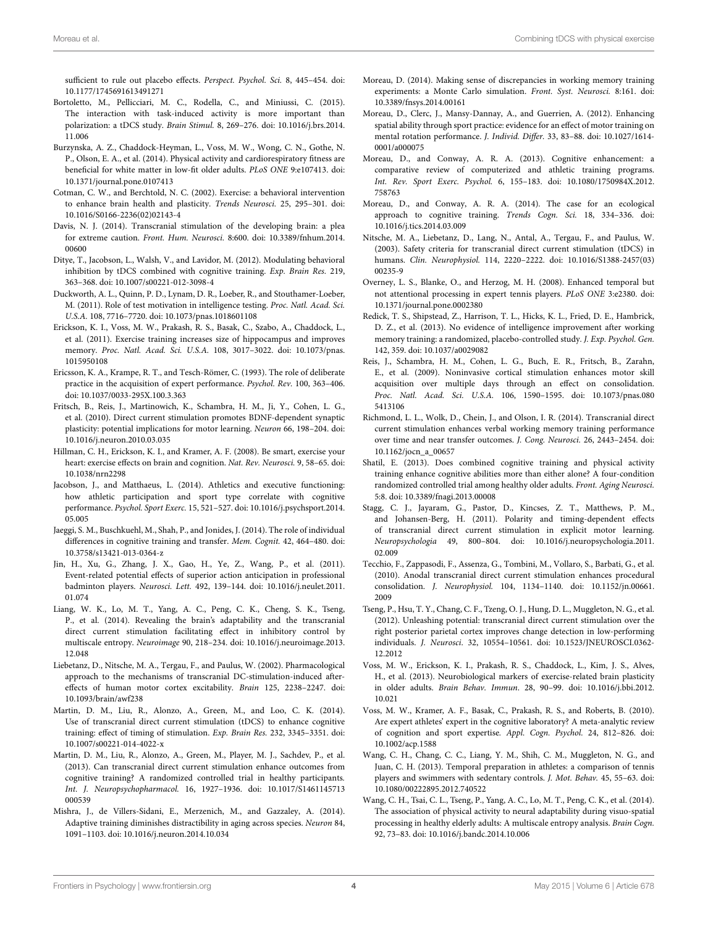sufficient to rule out placebo effects. Perspect. Psychol. Sci. 8, 445–454. doi: 10.1177/1745691613491271

- <span id="page-3-27"></span>Bortoletto, M., Pellicciari, M. C., Rodella, C., and Miniussi, C. (2015). The interaction with task-induced activity is more important than polarization: a tDCS study. Brain Stimul. 8, 269–276. doi: 10.1016/j.brs.2014. 11.006
- <span id="page-3-19"></span>Burzynska, A. Z., Chaddock-Heyman, L., Voss, M. W., Wong, C. N., Gothe, N. P., Olson, E. A., et al. (2014). Physical activity and cardiorespiratory fitness are beneficial for white matter in low-fit older adults. PLoS ONE 9:e107413. doi: 10.1371/journal.pone.0107413
- <span id="page-3-16"></span>Cotman, C. W., and Berchtold, N. C. (2002). Exercise: a behavioral intervention to enhance brain health and plasticity. Trends Neurosci. 25, 295–301. doi: 10.1016/S0166-2236(02)02143-4
- <span id="page-3-8"></span>Davis, N. J. (2014). Transcranial stimulation of the developing brain: a plea for extreme caution. Front. Hum. Neurosci. 8:600. doi: 10.3389/fnhum.2014. 00600
- <span id="page-3-29"></span>Ditye, T., Jacobson, L., Walsh, V., and Lavidor, M. (2012). Modulating behavioral inhibition by tDCS combined with cognitive training. Exp. Brain Res. 219, 363–368. doi: 10.1007/s00221-012-3098-4
- <span id="page-3-4"></span>Duckworth, A. L., Quinn, P. D., Lynam, D. R., Loeber, R., and Stouthamer-Loeber, M. (2011). Role of test motivation in intelligence testing. Proc. Natl. Acad. Sci. U.S.A. 108, 7716–7720. doi: 10.1073/pnas.1018601108
- <span id="page-3-17"></span>Erickson, K. I., Voss, M. W., Prakash, R. S., Basak, C., Szabo, A., Chaddock, L., et al. (2011). Exercise training increases size of hippocampus and improves memory. Proc. Natl. Acad. Sci. U.S.A. 108, 3017–3022. doi: 10.1073/pnas. 1015950108
- <span id="page-3-0"></span>Ericsson, K. A., Krampe, R. T., and Tesch-Römer, C. (1993). The role of deliberate practice in the acquisition of expert performance. Psychol. Rev. 100, 363–406. doi: 10.1037/0033-295X.100.3.363
- <span id="page-3-32"></span>Fritsch, B., Reis, J., Martinowich, K., Schambra, H. M., Ji, Y., Cohen, L. G., et al. (2010). Direct current stimulation promotes BDNF-dependent synaptic plasticity: potential implications for motor learning. Neuron 66, 198–204. doi: 10.1016/j.neuron.2010.03.035
- <span id="page-3-1"></span>Hillman, C. H., Erickson, K. I., and Kramer, A. F. (2008). Be smart, exercise your heart: exercise effects on brain and cognition. Nat. Rev. Neurosci. 9, 58–65. doi: 10.1038/nrn2298
- <span id="page-3-20"></span>Jacobson, J., and Matthaeus, L. (2014). Athletics and executive functioning: how athletic participation and sport type correlate with cognitive performance. Psychol. Sport Exerc. 15, 521–527. doi: 10.1016/j.psychsport.2014. 05.005
- <span id="page-3-30"></span>Jaeggi, S. M., Buschkuehl, M., Shah, P., and Jonides, J. (2014). The role of individual differences in cognitive training and transfer. Mem. Cognit. 42, 464–480. doi: 10.3758/s13421-013-0364-z
- <span id="page-3-23"></span>Jin, H., Xu, G., Zhang, J. X., Gao, H., Ye, Z., Wang, P., et al. (2011). Event-related potential effects of superior action anticipation in professional badminton players. Neurosci. Lett. 492, 139–144. doi: 10.1016/j.neulet.2011. 01.074
- <span id="page-3-33"></span>Liang, W. K., Lo, M. T., Yang, A. C., Peng, C. K., Cheng, S. K., Tseng, P., et al. (2014). Revealing the brain's adaptability and the transcranial direct current stimulation facilitating effect in inhibitory control by multiscale entropy. Neuroimage 90, 218–234. doi: 10.1016/j.neuroimage.2013. 12.048
- <span id="page-3-14"></span>Liebetanz, D., Nitsche, M. A., Tergau, F., and Paulus, W. (2002). Pharmacological approach to the mechanisms of transcranial DC-stimulation-induced aftereffects of human motor cortex excitability. Brain 125, 2238–2247. doi: 10.1093/brain/awf238
- <span id="page-3-10"></span>Martin, D. M., Liu, R., Alonzo, A., Green, M., and Loo, C. K. (2014). Use of transcranial direct current stimulation (tDCS) to enhance cognitive training: effect of timing of stimulation. Exp. Brain Res. 232, 3345–3351. doi: 10.1007/s00221-014-4022-x
- <span id="page-3-34"></span>Martin, D. M., Liu, R., Alonzo, A., Green, M., Player, M. J., Sachdev, P., et al. (2013). Can transcranial direct current stimulation enhance outcomes from cognitive training? A randomized controlled trial in healthy participants. Int. J. Neuropsychopharmacol. 16, 1927–1936. doi: 10.1017/S1461145713 000539
- <span id="page-3-9"></span>Mishra, J., de Villers-Sidani, E., Merzenich, M., and Gazzaley, A. (2014). Adaptive training diminishes distractibility in aging across species. Neuron 84, 1091–1103. doi: 10.1016/j.neuron.2014.10.034
- <span id="page-3-31"></span>Moreau, D. (2014). Making sense of discrepancies in working memory training experiments: a Monte Carlo simulation. Front. Syst. Neurosci. 8:161. doi: 10.3389/fnsys.2014.00161
- <span id="page-3-24"></span>Moreau, D., Clerc, J., Mansy-Dannay, A., and Guerrien, A. (2012). Enhancing spatial ability through sport practice: evidence for an effect of motor training on mental rotation performance. J. Individ. Differ. 33, 83–88. doi: 10.1027/1614- 0001/a000075
- <span id="page-3-15"></span>Moreau, D., and Conway, A. R. A. (2013). Cognitive enhancement: a comparative review of computerized and athletic training programs. Int. Rev. Sport Exerc. Psychol. 6, 155–183. doi: 10.1080/1750984X.2012. 758763
- <span id="page-3-2"></span>Moreau, D., and Conway, A. R. A. (2014). The case for an ecological approach to cognitive training. Trends Cogn. Sci. 18, 334-336. doi: 10.1016/j.tics.2014.03.009
- <span id="page-3-6"></span>Nitsche, M. A., Liebetanz, D., Lang, N., Antal, A., Tergau, F., and Paulus, W. (2003). Safety criteria for transcranial direct current stimulation (tDCS) in humans. Clin. Neurophysiol. 114, 2220–2222. doi: 10.1016/S1388-2457(03) 00235-9
- <span id="page-3-21"></span>Overney, L. S., Blanke, O., and Herzog, M. H. (2008). Enhanced temporal but not attentional processing in expert tennis players. PLoS ONE 3:e2380. doi: 10.1371/journal.pone.0002380
- <span id="page-3-3"></span>Redick, T. S., Shipstead, Z., Harrison, T. L., Hicks, K. L., Fried, D. E., Hambrick, D. Z., et al. (2013). No evidence of intelligence improvement after working memory training: a randomized, placebo-controlled study. J. Exp. Psychol. Gen. 142, 359. doi: 10.1037/a0029082
- <span id="page-3-11"></span>Reis, J., Schambra, H. M., Cohen, L. G., Buch, E. R., Fritsch, B., Zarahn, E., et al. (2009). Noninvasive cortical stimulation enhances motor skill acquisition over multiple days through an effect on consolidation. Proc. Natl. Acad. Sci. U.S.A. 106, 1590–1595. doi: 10.1073/pnas.080 5413106
- <span id="page-3-7"></span>Richmond, L. L., Wolk, D., Chein, J., and Olson, I. R. (2014). Transcranial direct current stimulation enhances verbal working memory training performance over time and near transfer outcomes. J. Cong. Neurosci. 26, 2443–2454. doi: 10.1162/jocn\_a\_00657
- <span id="page-3-5"></span>Shatil, E. (2013). Does combined cognitive training and physical activity training enhance cognitive abilities more than either alone? A four-condition randomized controlled trial among healthy older adults. Front. Aging Neurosci. 5:8. doi: 10.3389/fnagi.2013.00008
- <span id="page-3-13"></span>Stagg, C. J., Jayaram, G., Pastor, D., Kincses, Z. T., Matthews, P. M., and Johansen-Berg, H. (2011). Polarity and timing-dependent effects of transcranial direct current stimulation in explicit motor learning. Neuropsychologia 49, 800–804. doi: 10.1016/j.neuropsychologia.2011. 02.009
- <span id="page-3-12"></span>Tecchio, F., Zappasodi, F., Assenza, G., Tombini, M., Vollaro, S., Barbati, G., et al. (2010). Anodal transcranial direct current stimulation enhances procedural consolidation. J. Neurophysiol. 104, 1134–1140. doi: 10.1152/jn.00661. 2009
- <span id="page-3-28"></span>Tseng, P., Hsu, T. Y., Chang, C. F., Tzeng, O. J., Hung, D. L., Muggleton, N. G., et al. (2012). Unleashing potential: transcranial direct current stimulation over the right posterior parietal cortex improves change detection in low-performing individuals. J. Neurosci. 32, 10554–10561. doi: 10.1523/JNEUROSCI.0362- 12.2012
- <span id="page-3-26"></span>Voss, M. W., Erickson, K. I., Prakash, R. S., Chaddock, L., Kim, J. S., Alves, H., et al. (2013). Neurobiological markers of exercise-related brain plasticity in older adults. Brain Behav. Immun. 28, 90–99. doi: 10.1016/j.bbi.2012. 10.021
- <span id="page-3-25"></span>Voss, M. W., Kramer, A. F., Basak, C., Prakash, R. S., and Roberts, B. (2010). Are expert athletes' expert in the cognitive laboratory? A meta-analytic review of cognition and sport expertise. Appl. Cogn. Psychol. 24, 812–826. doi: 10.1002/acp.1588
- <span id="page-3-22"></span>Wang, C. H., Chang, C. C., Liang, Y. M., Shih, C. M., Muggleton, N. G., and Juan, C. H. (2013). Temporal preparation in athletes: a comparison of tennis players and swimmers with sedentary controls. J. Mot. Behav. 45, 55–63. doi: 10.1080/00222895.2012.740522
- <span id="page-3-18"></span>Wang, C. H., Tsai, C. L., Tseng, P., Yang, A. C., Lo, M. T., Peng, C. K., et al. (2014). The association of physical activity to neural adaptability during visuo-spatial processing in healthy elderly adults: A multiscale entropy analysis. Brain Cogn. 92, 73–83. doi: 10.1016/j.bandc.2014.10.006